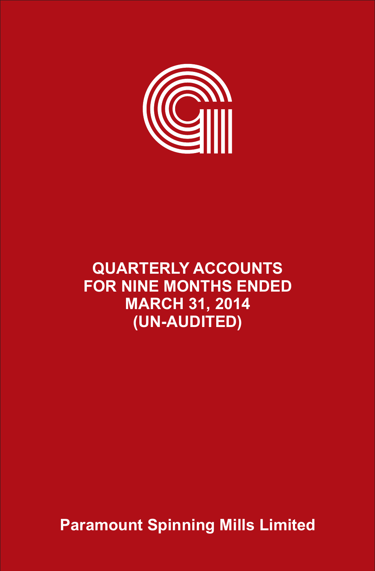

# **QUARTERLY ACCOUNTS FOR NINE MONTHS ENDED MARCH 31, 2014 (UN-AUDITED)**

**Paramount Spinning Mills Limited**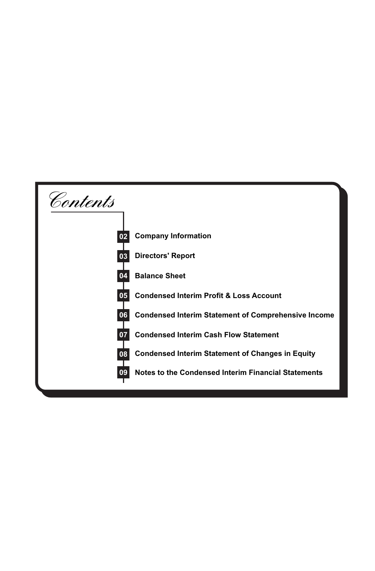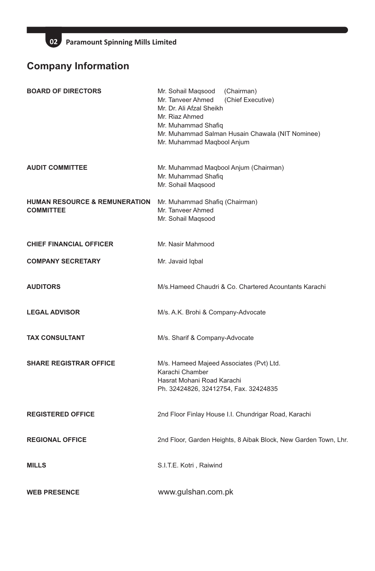# **Company Information**

| <b>BOARD OF DIRECTORS</b>                                    | Mr. Sohail Magsood<br>(Chairman)<br>Mr. Tanveer Ahmed<br>(Chief Executive)<br>Mr. Dr. Ali Afzal Sheikh<br>Mr. Riaz Ahmed<br>Mr. Muhammad Shafiq<br>Mr. Muhammad Salman Husain Chawala (NIT Nominee)<br>Mr. Muhammad Maqbool Anjum |
|--------------------------------------------------------------|-----------------------------------------------------------------------------------------------------------------------------------------------------------------------------------------------------------------------------------|
| <b>AUDIT COMMITTEE</b>                                       | Mr. Muhammad Maqbool Anjum (Chairman)<br>Mr. Muhammad Shafiq<br>Mr. Sohail Magsood                                                                                                                                                |
| <b>HUMAN RESOURCE &amp; REMUNERATION</b><br><b>COMMITTEE</b> | Mr. Muhammad Shafiq (Chairman)<br>Mr. Tanveer Ahmed<br>Mr. Sohail Magsood                                                                                                                                                         |
| <b>CHIEF FINANCIAL OFFICER</b>                               | Mr. Nasir Mahmood                                                                                                                                                                                                                 |
| <b>COMPANY SECRETARY</b>                                     | Mr. Javaid Iqbal                                                                                                                                                                                                                  |
| <b>AUDITORS</b>                                              | M/s. Hameed Chaudri & Co. Chartered Acountants Karachi                                                                                                                                                                            |
| <b>LEGAL ADVISOR</b>                                         | M/s. A.K. Brohi & Company-Advocate                                                                                                                                                                                                |
| <b>TAX CONSULTANT</b>                                        | M/s. Sharif & Company-Advocate                                                                                                                                                                                                    |
| <b>SHARE REGISTRAR OFFICE</b>                                | M/s. Hameed Majeed Associates (Pvt) Ltd.<br>Karachi Chamber<br>Hasrat Mohani Road Karachi<br>Ph. 32424826, 32412754, Fax. 32424835                                                                                                |
| <b>REGISTERED OFFICE</b>                                     | 2nd Floor Finlay House I.I. Chundrigar Road, Karachi                                                                                                                                                                              |
| <b>REGIONAL OFFICE</b>                                       | 2nd Floor, Garden Heights, 8 Aibak Block, New Garden Town, Lhr.                                                                                                                                                                   |
| <b>MILLS</b>                                                 | S.I.T.E. Kotri, Raiwind                                                                                                                                                                                                           |
| <b>WEB PRESENCE</b>                                          | www.gulshan.com.pk                                                                                                                                                                                                                |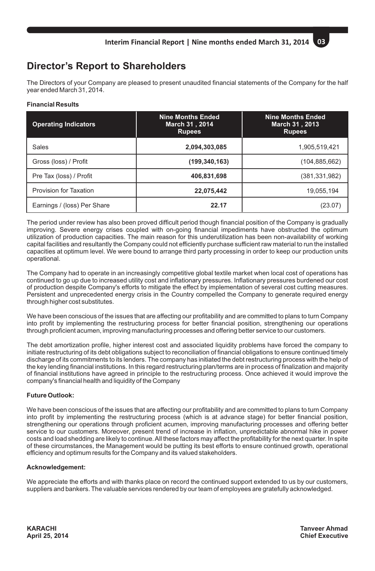# **Director's Report to Shareholders**

The Directors of your Company are pleased to present unaudited financial statements of the Company for the half year ended March 31, 2014.

### **Financial Results**

| <b>Operating Indicators</b> | <b>Nine Months Ended</b><br>March 31, 2014<br><b>Rupees</b> | <b>Nine Months Ended</b><br>March 31, 2013<br><b>Rupees</b> |
|-----------------------------|-------------------------------------------------------------|-------------------------------------------------------------|
| Sales                       | 2,094,303,085                                               | 1,905,519,421                                               |
| Gross (loss) / Profit       | (199, 340, 163)                                             | (104, 885, 662)                                             |
| Pre Tax (loss) / Profit     | 406.831.698                                                 | (381, 331, 982)                                             |
| Provision for Taxation      | 22,075,442                                                  | 19,055,194                                                  |
| Earnings / (loss) Per Share | 22.17                                                       | (23.07)                                                     |

The period under review has also been proved difficult period though financial position of the Company is gradually improving. Severe energy crises coupled with on-going financial impediments have obstructed the optimum utilization of production capacities. The main reason for this underutilization has been non-availability of working capital facilities and resultantly the Company could not efficiently purchase sufficient raw material to run the installed capacities at optimum level. We were bound to arrange third party processing in order to keep our production units operational.

The Company had to operate in an increasingly competitive global textile market when local cost of operations has continued to go up due to increased utility cost and inflationary pressures. Inflationary pressures burdened our cost of production despite Company's efforts to mitigate the effect by implementation of several cost cutting measures. Persistent and unprecedented energy crisis in the Country compelled the Company to generate required energy through higher cost substitutes.

We have been conscious of the issues that are affecting our profitability and are committed to plans to turn Company into profit by implementing the restructuring process for better financial position, strengthening our operations through proficient acumen, improving manufacturing processes and offering better service to our customers.

The debt amortization profile, higher interest cost and associated liquidity problems have forced the company to initiate restructuring of its debt obligations subject to reconciliation of financial obligations to ensure continued timely discharge of its commitments to its lenders. The company has initiated the debt restructuring process with the help of the key lending financial institutions. In this regard restructuring plan/terms are in process of finalization and majority of financial institutions have agreed in principle to the restructuring process. Once achieved it would improve the company's financial health and liquidity of the Company

# **Future Outlook:**

We have been conscious of the issues that are affecting our profitability and are committed to plans to turn Company into profit by implementing the restructuring process (which is at advance stage) for better financial position, strengthening our operations through proficient acumen, improving manufacturing processes and offering better service to our customers. Moreover, present trend of increase in inflation, unpredictable abnormal hike in power costs and load shedding are likely to continue. All these factors may affect the profitability for the next quarter. In spite of these circumstances, the Management would be putting its best efforts to ensure continued growth, operational efficiency and optimum results for the Company and its valued stakeholders.

### **Acknowledgement:**

We appreciate the efforts and with thanks place on record the continued support extended to us by our customers, suppliers and bankers. The valuable services rendered by our team of employees are gratefully acknowledged.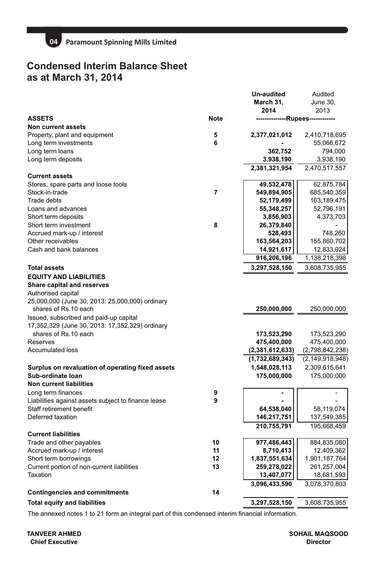

# **Condensed Interim Balance Sheet as at March 31, 2014**

|                                                     |                | Un-audited<br>March 31,<br>2014  | Audited<br>June 30,<br>2013 |
|-----------------------------------------------------|----------------|----------------------------------|-----------------------------|
| <b>ASSETS</b>                                       | <b>Note</b>    | --------------Rupees------------ |                             |
| Non current assets                                  |                |                                  |                             |
| Property, plant and equipment                       | 5              | 2,377,021,012                    | 2,410,718,695               |
| Long term investments                               | 6              |                                  | 55,066,672                  |
| Long term loans                                     |                | 362,752                          | 794,000                     |
| Long term deposits                                  |                | 3,938,190                        | 3,938,190                   |
|                                                     |                | 2,381,321,954                    | 2,470,517,557               |
| <b>Current assets</b>                               |                |                                  |                             |
| Stores, spare parts and loose tools                 |                | 49,532,478                       | 62,875,784                  |
| Stock-in-trade                                      | $\overline{7}$ | 549,894,905                      | 685,540,359                 |
| Trade debts                                         |                | 52,179,499                       | 163,189,475                 |
| Loans and advances                                  |                | 55,348,257                       | 52,796,191                  |
| Short term deposits                                 |                | 3,856,903                        | 4,373,703                   |
| Short term investment                               | 8              | 26,379,840                       |                             |
| Accrued mark-up / interest                          |                | 528,493                          | 748,260                     |
| Other receivables                                   |                | 163,564,203                      | 155,860,702                 |
| Cash and bank balances                              |                | 14,921,617                       | 12,833,924                  |
|                                                     |                | 916,206,196                      | 1,138,218,398               |
| <b>Total assets</b>                                 |                | 3,297,528,150                    | 3,608,735,955               |
| <b>EQUITY AND LIABILITIES</b>                       |                |                                  |                             |
| Share capital and reserves                          |                |                                  |                             |
| Authorised capital                                  |                |                                  |                             |
| 25,000,000 (June 30, 2013: 25,000,000) ordinary     |                |                                  |                             |
| shares of Rs.10 each                                |                | 250,000,000                      | 250,000,000                 |
| Issued, subscribed and paid-up capital              |                |                                  |                             |
| 17,352,329 (June 30, 2013: 17,352,329) ordinary     |                |                                  |                             |
| shares of Rs.10 each                                |                | 173,523,290                      | 173,523,290                 |
| Reserves                                            |                | 475,400,000                      | 475,400,000                 |
| <b>Accumulated loss</b>                             |                | (2,381,612,633)                  | (2,798,842,238)             |
|                                                     |                | (1,732,689,343)                  | (2, 149, 918, 948)          |
| Surplus on revaluation of operating fixed assets    |                | 1,548,028,113                    | 2,309,615,641               |
| Sub-ordinate loan                                   |                | 175,000,000                      | 175,000,000                 |
| <b>Non current liabilities</b>                      |                |                                  |                             |
| Long term finances                                  | 9              |                                  |                             |
| Liabilities against assets subject to finance lease | 9              |                                  |                             |
| Staff retirement benefit                            |                | 64,538,040                       | 58,119,074                  |
| Deferred taxation                                   |                | 146,217,751                      | 137,549,385                 |
|                                                     |                | 210,755,791                      | 195,668,459                 |
| <b>Current liabilities</b>                          |                |                                  |                             |
| Trade and other payables                            | 10             | 977,486,443                      | 884,835,080                 |
| Accrued mark-up / interest                          | 11             | 8,710,413                        | 12,409,362                  |
| Short term borrowings                               | 12             | 1,837,551,634                    | 1,901,187,764               |
| Current portion of non-current liabilities          | 13             | 259,278,022                      | 261,257,004                 |
| Taxation                                            |                | 13,407,077                       | 18,681,593                  |
|                                                     |                | 3,096,433,590                    | 3,078,370,803               |
| <b>Contingencies and commitments</b>                | 14             |                                  |                             |
| <b>Total equity and liabilities</b>                 |                | 3,297,528,150                    | 3,608,735,955               |

 The annexed notes 1 to 21 form an integral part of this condensed interim financial information.

**Chief Executive TANVEER AHMED SOHAIL MAQSOOD**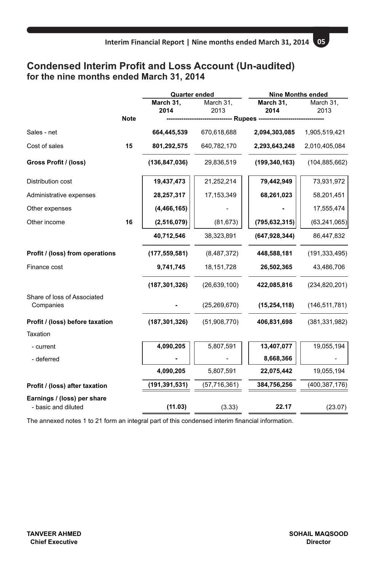# **Condensed Interim Profit and Loss Account (Un-audited) for the nine months ended March 31, 2014**

|                                          |             | <b>Quarter ended</b> |                    | <b>Nine Months ended</b> |                   |  |
|------------------------------------------|-------------|----------------------|--------------------|--------------------------|-------------------|--|
|                                          |             | March 31,<br>2014    | March 31,<br>2013  | March 31,<br>2014        | March 31,<br>2013 |  |
|                                          | <b>Note</b> |                      | ------ Rupees ---- |                          |                   |  |
| Sales - net                              |             | 664,445,539          | 670,618,688        | 2,094,303,085            | 1,905,519,421     |  |
| Cost of sales                            | 15          | 801,292,575          | 640,782,170        | 2,293,643,248            | 2,010,405,084     |  |
| Gross Profit / (loss)                    |             | (136, 847, 036)      | 29,836,519         | (199, 340, 163)          | (104, 885, 662)   |  |
| Distribution cost                        |             | 19,437,473           | 21,252,214         | 79,442,949               | 73,931,972        |  |
| Administrative expenses                  |             | 28,257,317           | 17, 153, 349       | 68,261,023               | 58,201,451        |  |
| Other expenses                           |             | (4, 466, 165)        |                    |                          | 17,555,474        |  |
| Other income                             | 16          | (2,516,079)          | (81, 673)          | (795, 632, 315)          | (63, 241, 065)    |  |
|                                          |             | 40,712,546           | 38,323,891         | (647, 928, 344)          | 86,447,832        |  |
| Profit / (loss) from operations          |             | (177, 559, 581)      | (8,487,372)        | 448,588,181              | (191, 333, 495)   |  |
| Finance cost                             |             | 9,741,745            | 18, 151, 728       | 26,502,365               | 43,486,706        |  |
|                                          |             | (187, 301, 326)      | (26, 639, 100)     | 422,085,816              | (234, 820, 201)   |  |
| Share of loss of Associated<br>Companies |             |                      | (25, 269, 670)     | (15, 254, 118)           | (146, 511, 781)   |  |
| Profit / (loss) before taxation          |             | (187, 301, 326)      | (51,908,770)       | 406,831,698              | (381, 331, 982)   |  |
| Taxation                                 |             |                      |                    |                          |                   |  |
| - current                                |             | 4,090,205            | 5,807,591          | 13,407,077               | 19,055,194        |  |
| - deferred                               |             |                      |                    | 8,668,366                |                   |  |
|                                          |             | 4,090,205            | 5,807,591          | 22,075,442               | 19,055,194        |  |
| Profit / (loss) after taxation           |             | (191,391,531)        | (57, 716, 361)     | 384,756,256              | (400, 387, 176)   |  |
| Earnings / (loss) per share              |             |                      |                    |                          |                   |  |
| - basic and diluted                      |             | (11.03)              | (3.33)             | 22.17                    | (23.07)           |  |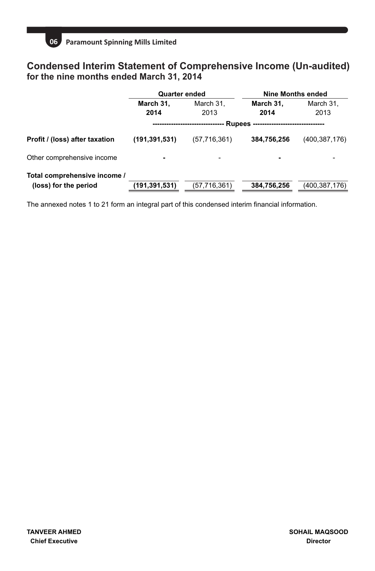

# **Condensed Interim Statement of Comprehensive Income (Un-audited) for the nine months ended March 31, 2014**

|                                | Quarter ended   |                |                          | Nine Months ended |  |
|--------------------------------|-----------------|----------------|--------------------------|-------------------|--|
|                                | March 31,       | March 31,      | March 31,                | March 31,         |  |
|                                | 2014            | 2013           | 2014                     | 2013              |  |
|                                |                 |                | Rupees --                |                   |  |
| Profit / (loss) after taxation | (191, 391, 531) | (57, 716, 361) | 384.756.256              | (400, 387, 176)   |  |
| Other comprehensive income     |                 |                | $\overline{\phantom{a}}$ |                   |  |
| Total comprehensive income /   |                 |                |                          |                   |  |
| (loss) for the period          | (191,391,531)   | (57, 716, 361) | 384,756,256              | (400, 387, 176)   |  |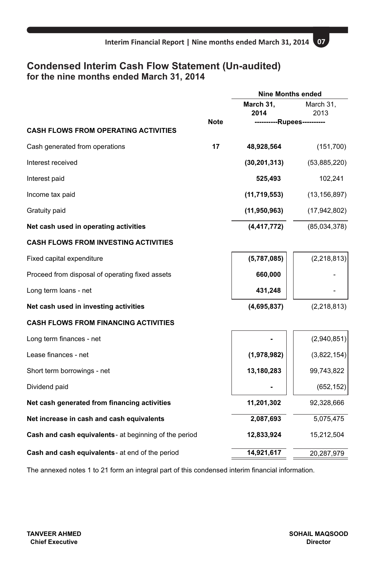# **Condensed Interim Cash Flow Statement (Un-audited) for the nine months ended March 31, 2014**

|                                                        |             | <b>Nine Months ended</b> |                          |
|--------------------------------------------------------|-------------|--------------------------|--------------------------|
|                                                        |             | March 31,                | March 31,                |
|                                                        |             | 2014                     | 2013                     |
| <b>CASH FLOWS FROM OPERATING ACTIVITIES</b>            | <b>Note</b> |                          | --------Rupees---------- |
| Cash generated from operations                         | 17          | 48,928,564               | (151, 700)               |
| Interest received                                      |             | (30, 201, 313)           | (53,885,220)             |
| Interest paid                                          |             | 525,493                  | 102,241                  |
| Income tax paid                                        |             | (11, 719, 553)           | (13, 156, 897)           |
| Gratuity paid                                          |             | (11, 950, 963)           | (17, 942, 802)           |
| Net cash used in operating activities                  |             | (4, 417, 772)            | (85,034,378)             |
| <b>CASH FLOWS FROM INVESTING ACTIVITIES</b>            |             |                          |                          |
| Fixed capital expenditure                              |             | (5,787,085)              | (2, 218, 813)            |
| Proceed from disposal of operating fixed assets        |             | 660,000                  |                          |
| Long term loans - net                                  |             | 431,248                  |                          |
| Net cash used in investing activities                  |             | (4,695,837)              | (2, 218, 813)            |
| <b>CASH FLOWS FROM FINANCING ACTIVITIES</b>            |             |                          |                          |
| Long term finances - net                               |             |                          | (2,940,851)              |
| Lease finances - net                                   |             | (1,978,982)              | (3,822,154)              |
| Short term borrowings - net                            |             | 13,180,283               | 99,743,822               |
| Dividend paid                                          |             |                          | (652, 152)               |
| Net cash generated from financing activities           |             | 11,201,302               | 92,328,666               |
| Net increase in cash and cash equivalents              |             | 2,087,693                | 5,075,475                |
| Cash and cash equivalents - at beginning of the period |             | 12,833,924               | 15,212,504               |
| Cash and cash equivalents - at end of the period       |             | 14,921,617               | 20,287,979               |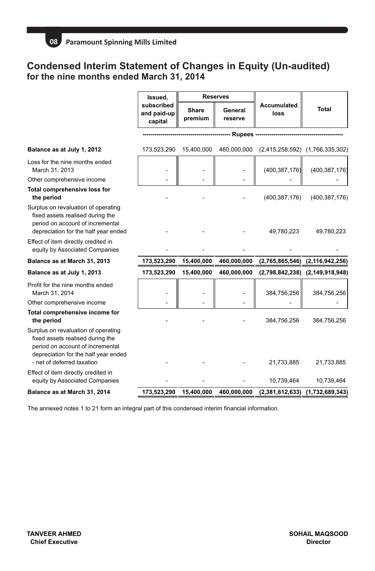# **Condensed Interim Statement of Changes in Equity (Un-audited) for the nine months ended March 31, 2014**

|                                                                                                                                                                                            | Issued.                              |                  | <b>Reserves</b>    |                            |                                 |
|--------------------------------------------------------------------------------------------------------------------------------------------------------------------------------------------|--------------------------------------|------------------|--------------------|----------------------------|---------------------------------|
|                                                                                                                                                                                            | subscribed<br>and paid-up<br>capital | Share<br>premium | General<br>reserve | <b>Accumulated</b><br>loss | Total                           |
|                                                                                                                                                                                            |                                      |                  | -- Rupees ------   |                            |                                 |
| Balance as at July 1, 2012                                                                                                                                                                 | 173,523,290                          | 15.400.000       | 460,000,000        |                            | (2,415,258,592) (1,766,335,302) |
| Loss for the nine months ended<br>March 31, 2013                                                                                                                                           |                                      |                  |                    | (400, 387, 176)            | (400, 387, 176)                 |
| Other comprehensive income                                                                                                                                                                 |                                      |                  |                    |                            |                                 |
| Total comprehensive loss for<br>the period                                                                                                                                                 |                                      |                  |                    | (400, 387, 176)            | (400, 387, 176)                 |
| Surplus on revaluation of operating<br>fixed assets realised during the<br>period on account of incremental<br>depreciation for the half year ended<br>Effect of item directly credited in |                                      |                  |                    | 49,780,223                 | 49,780,223                      |
| equity by Associated Companies                                                                                                                                                             |                                      |                  |                    |                            |                                 |
| Balance as at March 31, 2013                                                                                                                                                               | 173,523,290                          | 15,400,000       | 460,000,000        |                            | (2,765,865,546) (2,116,942,256) |
| Balance as at July 1, 2013                                                                                                                                                                 | 173,523,290                          | 15,400,000       | 460,000,000        |                            | (2,798,842,238) (2,149,918,948) |
| Profit for the nine months ended<br>March 31, 2014                                                                                                                                         |                                      |                  |                    | 384,756,256                | 384,756,256                     |
| Other comprehensive income                                                                                                                                                                 |                                      |                  |                    |                            |                                 |
| Total comprehensive income for<br>the period                                                                                                                                               |                                      |                  |                    | 384,756,256                | 384,756,256                     |
| Surplus on revaluation of operating<br>fixed assets realised during the<br>period on account of incremental<br>depreciation for the half year ended<br>- net of deferred taxation          |                                      |                  |                    | 21,733,885                 | 21,733,885                      |
| Effect of item directly credited in<br>equity by Associated Companies                                                                                                                      |                                      |                  |                    | 10,739,464                 | 10,739,464                      |
| Balance as at March 31, 2014                                                                                                                                                               | 173,523,290                          | 15,400,000       | 460,000,000        | (2,381,612,633)            | (1,732,689,343)                 |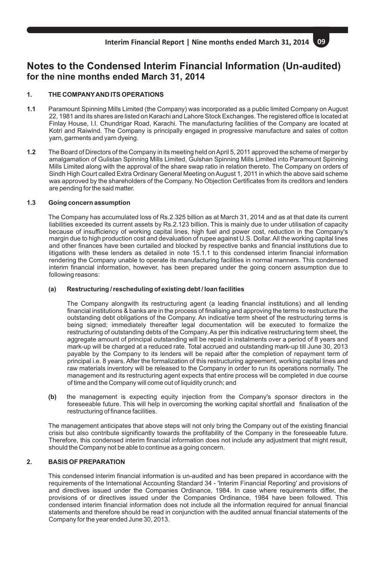# **Notes to the Condensed Interim Financial Information (Un-audited) for the nine months ended March 31, 2014**

# **1. THE COMPANYAND ITS OPERATIONS**

- **1.1** Paramount Spinning Mills Limited (the Company) was incorporated as a public limited Company on August 22, 1981 and its shares are listed on Karachi and Lahore Stock Exchanges. The registered office is located at Finlay House, I.I. Chundrigar Road, Karachi. The manufacturing facilities of the Company are located at Kotri and Raiwind. The Company is principally engaged in progressive manufacture and sales of cotton yarn, garments and yarn dyeing.
- **1.2** The Board of Directors of the Company in its meeting held on April 5, 2011 approved the scheme of merger by amalgamation of Gulistan Spinning Mills Limited, Gulshan Spinning Mills Limited into Paramount Spinning Mills Limited along with the approval of the share swap ratio in relation thereto. The Company on orders of Sindh High Court called Extra Ordinary General Meeting on August 1, 2011 in which the above said scheme was approved by the shareholders of the Company. No Objection Certificates from its creditors and lenders are pending for the said matter.

### **1.3 Going concern assumption**

The Company has accumulated loss of Rs.2.325 billion as at March 31, 2014 and as at that date its current liabilities exceeded its current assets by Rs.2.123 billion. This is mainly due to under utilisation of capacity because of insufficiency of working capital lines, high fuel and power cost, reduction in the Company's margin due to high production cost and devaluation of rupee against U.S. Dollar. All the working capital lines and other finances have been curtailed and blocked by respective banks and financial institutions due to litigations with these lenders as detailed in note 15.1.1 to this condensed interim financial information rendering the Company unable to operate its manufacturing facilities in normal manners. This condensed interim financial information, however, has been prepared under the going concern assumption due to following reasons:

### **(a) Restructuring / rescheduling of existing debt / loan facilities**

The Company alongwith its restructuring agent (a leading financial institutions) and all lending financial institutions & banks are in the process of finalising and approving the terms to restructure the outstanding debt obligations of the Company. An indicative term sheet of the restructuring terms is being signed; immediately thereafter legal documentation will be executed to formalize the restructuring of outstanding debts of the Company. As per this indicative restructuring term sheet, the aggregate amount of principal outstanding will be repaid in instalments over a period of 8 years and mark-up will be charged at a reduced rate. Total accrued and outstanding mark-up till June 30, 2013 payable by the Company to its lenders will be repaid after the completion of repayment term of principal i.e. 8 years. After the formalization of this restructuring agreement, working capital lines and raw materials inventory will be released to the Company in order to run its operations normally. The management and its restructuring agent expects that entire process will be completed in due course of time and the Company will come out of liquidity crunch; and

**(b)** the management is expecting equity injection from the Company's sponsor directors in the foreseeable future. This will help in overcoming the working capital shortfall and finalisation of the restructuring of finance facilities.

The management anticipates that above steps will not only bring the Company out of the existing financial crisis but also contribute significantly towards the profitability of the Company in the foreseeable future. Therefore, this condensed interim financial information does not include any adjustment that might result, should the Company not be able to continue as a going concern.

# **2. BASIS OF PREPARATION**

This condensed interim financial information is un-audited and has been prepared in accordance with the requirements of the International Accounting Standard 34 - 'Interim Financial Reporting' and provisions of and directives issued under the Companies Ordinance, 1984. In case where requirements differ, the provisions of or directives issued under the Companies Ordinance, 1984 have been followed. This condensed interim financial information does not include all the information required for annual financial statements and therefore should be read in conjunction with the audited annual financial statements of the Company for the year ended June 30, 2013.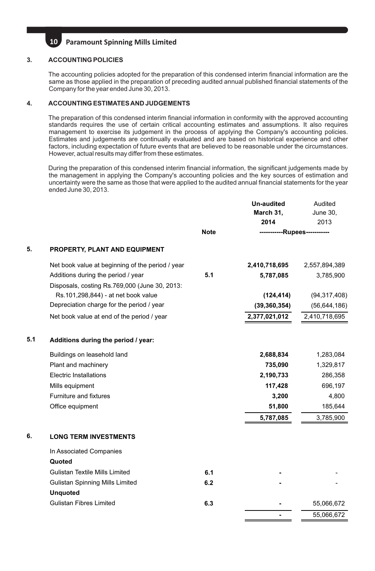### **3. ACCOUNTING POLICIES**

The accounting policies adopted for the preparation of this condensed interim financial information are the same as those applied in the preparation of preceding audited annual published financial statements of the Company for the year ended June 30, 2013.

### **4. ACCOUNTING ESTIMATES AND JUDGEMENTS**

The preparation of this condensed interim financial information in conformity with the approved accounting standards requires the use of certain critical accounting estimates and assumptions. It also requires management to exercise its judgement in the process of applying the Company's accounting policies. Estimates and judgements are continually evaluated and are based on historical experience and other factors, including expectation of future events that are believed to be reasonable under the circumstances. However, actual results may differ from these estimates.

During the preparation of this condensed interim financial information, the significant judgements made by the management in applying the Company's accounting policies and the key sources of estimation and uncertainty were the same as those that were applied to the audited annual financial statements for the year ended June 30, 2013.

|     |                                                                                     |             | <b>Un-audited</b><br>March 31.<br>2014 | Audited<br><b>June 30,</b><br>2013 |
|-----|-------------------------------------------------------------------------------------|-------------|----------------------------------------|------------------------------------|
|     |                                                                                     | <b>Note</b> | -----------Rupees-----------           |                                    |
| 5.  | PROPERTY, PLANT AND EQUIPMENT                                                       |             |                                        |                                    |
|     | Net book value at beginning of the period / year                                    |             | 2,410,718,695                          | 2,557,894,389                      |
|     | Additions during the period / year<br>Disposals, costing Rs.769,000 (June 30, 2013: | 5.1         | 5,787,085                              | 3,785,900                          |
|     | Rs.101,298,844) - at net book value                                                 |             | (124, 414)                             | (94, 317, 408)                     |
|     | Depreciation charge for the period / year                                           |             | (39, 360, 354)                         | (56, 644, 186)                     |
|     | Net book value at end of the period / year                                          |             | 2,377,021,012                          | 2,410,718,695                      |
| 5.1 | Additions during the period / year:                                                 |             |                                        |                                    |
|     | Buildings on leasehold land                                                         |             | 2,688,834                              | 1,283,084                          |
|     | Plant and machinery                                                                 |             | 735,090                                | 1,329,817                          |
|     | Electric Installations                                                              |             | 2,190,733                              | 286,358                            |
|     | Mills equipment                                                                     |             | 117,428                                | 696,197                            |
|     | Furniture and fixtures                                                              |             | 3,200                                  | 4,800                              |
|     | Office equipment                                                                    |             | 51,800                                 | 185,644                            |
|     |                                                                                     |             | 5,787,085                              | 3,785,900                          |
| 6.  | <b>LONG TERM INVESTMENTS</b>                                                        |             |                                        |                                    |
|     | In Associated Companies                                                             |             |                                        |                                    |
|     | Quoted                                                                              |             |                                        |                                    |
|     | Gulistan Textile Mills Limited                                                      | 6.1         |                                        |                                    |
|     | <b>Gulistan Spinning Mills Limited</b>                                              | 6.2         |                                        |                                    |
|     | <b>Unquoted</b>                                                                     |             |                                        |                                    |
|     | <b>Gulistan Fibres Limited</b>                                                      | 6.3         |                                        | 55,066,672                         |
|     |                                                                                     |             |                                        | 55,066,672                         |
|     |                                                                                     |             |                                        |                                    |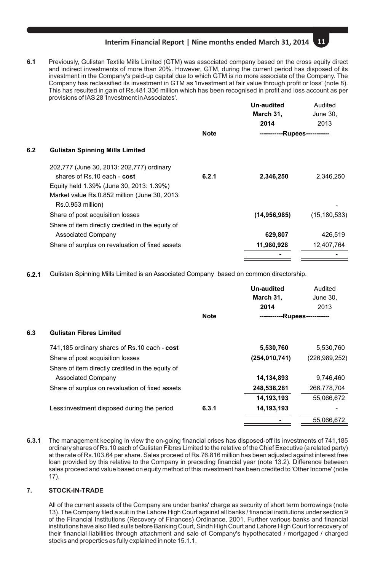**6.1** Previously, Gulistan Textile Mills Limited (GTM) was associated company based on the cross equity direct and indirect investments of more than 20%. However, GTM, during the current period has disposed of its investment in the Company's paid-up capital due to which GTM is no more associate of the Company. The Company has reclassified its investment in GTM as 'Investment at fair value through profit or loss' (note 8). This has resulted in gain of Rs.481.336 million which has been recognised in profit and loss account as per provisions of IAS 28 'Investment in Associates'.

|     |                                                  |             | Un-audited<br>March 31,               | Audited<br>June 30, |
|-----|--------------------------------------------------|-------------|---------------------------------------|---------------------|
|     |                                                  | <b>Note</b> | 2014<br>------------Rupees----------- | 2013                |
| 6.2 | <b>Gulistan Spinning Mills Limited</b>           |             |                                       |                     |
|     | 202,777 (June 30, 2013: 202,777) ordinary        |             |                                       |                     |
|     | shares of Rs.10 each - cost                      | 6.2.1       | 2,346,250                             | 2,346,250           |
|     | Equity held 1.39% (June 30, 2013: 1.39%)         |             |                                       |                     |
|     | Market value Rs.0.852 million (June 30, 2013:    |             |                                       |                     |
|     | Rs.0.953 million)                                |             |                                       |                     |
|     | Share of post acquisition losses                 |             | (14, 956, 985)                        | (15, 180, 533)      |
|     | Share of item directly credited in the equity of |             |                                       |                     |
|     | <b>Associated Company</b>                        |             | 629,807                               | 426,519             |
|     | Share of surplus on revaluation of fixed assets  |             | 11,980,928                            | 12,407,764          |
|     |                                                  |             |                                       |                     |
|     |                                                  |             |                                       |                     |

**6.2.1** Gulistan Spinning Mills Limited is an Associated Company based on common directorship.

|     |                                                  |             | Un-audited<br>March 31,<br>2014 | Audited<br>June 30.<br>2013 |
|-----|--------------------------------------------------|-------------|---------------------------------|-----------------------------|
|     |                                                  | <b>Note</b> | -----------Rupees-----------    |                             |
| 6.3 | <b>Gulistan Fibres Limited</b>                   |             |                                 |                             |
|     | 741,185 ordinary shares of Rs.10 each - cost     |             | 5,530,760                       | 5,530,760                   |
|     | Share of post acquisition losses                 |             | (254, 010, 741)                 | (226, 989, 252)             |
|     | Share of item directly credited in the equity of |             |                                 |                             |
|     | <b>Associated Company</b>                        |             | 14.134.893                      | 9.746.460                   |
|     | Share of surplus on revaluation of fixed assets  |             | 248,538,281                     | 266.778.704                 |
|     |                                                  |             | 14.193.193                      | 55.066.672                  |
|     | Less: investment disposed during the period      | 6.3.1       | 14.193.193                      |                             |
|     |                                                  |             |                                 | 55.066.672                  |

**6.3.1** The management keeping in view the on-going financial crises has disposed-off its investments of 741,185 ordinary shares of Rs.10 each of Gulistan Fibres Limited to the relative of the Chief Executive (a related party) at the rate of Rs.103.64 per share. Sales proceed of Rs.76.816 million has been adjusted against interest free loan provided by this relative to the Company in preceding financial year (note 13.2). Difference between sales proceed and value based on equity method of this investment has been credited to 'Other Income' (note 17).

# **7. STOCK-IN-TRADE**

All of the current assets of the Company are under banks' charge as security of short term borrowings (note 13). The Company filed a suit in the Lahore High Court against all banks / financial institutions under section 9 of the Financial Institutions (Recovery of Finances) Ordinance, 2001. Further various banks and financial institutions have also filed suits before Banking Court, Sindh High Court and Lahore High Court for recovery of their financial liabilities through attachment and sale of Company's hypothecated / mortgaged / charged stocks and properties as fully explained in note 15.1.1.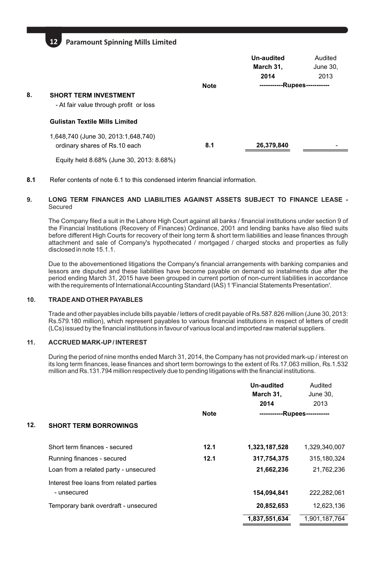|    |                                                                        |             | Un-audited<br>March 31.<br>2014 | Audited<br>June 30.<br>2013 |  |
|----|------------------------------------------------------------------------|-------------|---------------------------------|-----------------------------|--|
|    |                                                                        | <b>Note</b> |                                 | --Rupees-----------         |  |
| 8. | <b>SHORT TERM INVESTMENT</b><br>- At fair value through profit or loss |             |                                 |                             |  |
|    | <b>Gulistan Textile Mills Limited</b>                                  |             |                                 |                             |  |
|    | 1,648,740 (June 30, 2013:1,648,740)<br>ordinary shares of Rs.10 each   | 8.1         | 26,379,840                      |                             |  |
|    | Equity held 8.68% (June 30, 2013: 8.68%)                               |             |                                 |                             |  |

**8.1** Refer contents of note 6.1 to this condensed interim financial information.

### **9. LONG TERM FINANCES AND LIABILITIES AGAINST ASSETS SUBJECT TO FINANCE LEASE -** Secured

The Company filed a suit in the Lahore High Court against all banks / financial institutions under section 9 of the Financial Institutions (Recovery of Finances) Ordinance, 2001 and lending banks have also filed suits before different High Courts for recovery of their long term & short term liabilities and lease finances through attachment and sale of Company's hypothecated / mortgaged / charged stocks and properties as fully disclosed in note 15.1.1.

Due to the abovementioned litigations the Company's financial arrangements with banking companies and lessors are disputed and these liabilities have become payable on demand so instalments due after the period ending March 31, 2015 have been grouped in current portion of non-current liabilities in accordance with the requirements of International Accounting Standard (IAS) 1 'Financial Statements Presentation'.

# **10. TRADE AND OTHER PAYABLES**

Trade and other payables include bills payable / letters of credit payable of Rs.587.826 million (June 30, 2013: Rs.579.180 million), which represent payables to various financial institutions in respect of letters of credit (LCs) issued by the financial institutions in favour of various local and imported raw material suppliers.

### **11. ACCRUED MARK-UP/ INTEREST**

During the period of nine months ended March 31, 2014, the Company has not provided mark-up / interest on its long term finances, lease finances and short term borrowings to the extent of Rs.17.063 million, Rs.1.532 million and Rs.131.794 million respectively due to pending litigations with the financial institutions.

|     |                                          |             | Un-audited    | Audited            |
|-----|------------------------------------------|-------------|---------------|--------------------|
|     |                                          |             | March 31,     | June 30,           |
|     |                                          |             | 2014          | 2013               |
|     |                                          | <b>Note</b> | ----------    | -Rupees----------- |
| 12. | <b>SHORT TERM BORROWINGS</b>             |             |               |                    |
|     | Short term finances - secured            | 12.1        | 1,323,187,528 | 1,329,340,007      |
|     | Running finances - secured               | 12.1        | 317,754,375   | 315,180,324        |
|     | Loan from a related party - unsecured    |             | 21,662,236    | 21,762,236         |
|     | Interest free loans from related parties |             |               |                    |
|     | - unsecured                              |             | 154,094,841   | 222.282.061        |
|     | Temporary bank overdraft - unsecured     |             | 20,852,653    | 12,623,136         |
|     |                                          |             | 1,837,551,634 | 1,901,187,764      |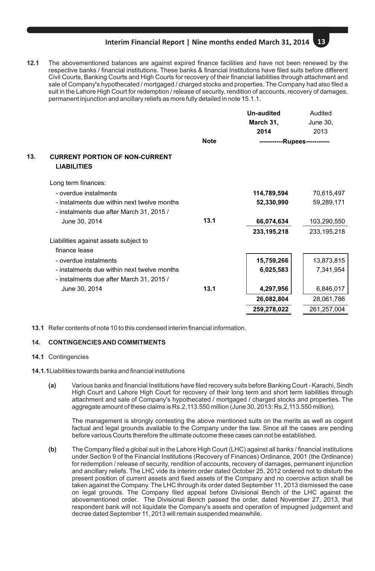**12.1** The abovementioned balances are against expired finance facilities and have not been renewed by the respective banks / financial institutions. These banks & financial Institutions have filed suits before different Civil Courts, Banking Courts and High Courts for recovery of their financial liabilities through attachment and sale of Company's hypothecated / mortgaged / charged stocks and properties. The Company had also filed a suit in the Lahore High Court for redemption / release of security, rendition of accounts, recovery of damages, permanent injunction and ancillary reliefs as more fully detailed in note 15.1.1.

|     |                                                                                         |                   | <b>Un-audited</b>            | Audited<br>June 30, |  |
|-----|-----------------------------------------------------------------------------------------|-------------------|------------------------------|---------------------|--|
|     |                                                                                         | March 31,<br>2014 |                              |                     |  |
|     |                                                                                         |                   |                              | 2013                |  |
|     |                                                                                         | <b>Note</b>       | -----------Rupees----------- |                     |  |
| 13. | <b>CURRENT PORTION OF NON-CURRENT</b><br><b>LIABILITIES</b>                             |                   |                              |                     |  |
|     | Long term finances:                                                                     |                   |                              |                     |  |
|     | - overdue instalments                                                                   |                   | 114,789,594                  | 70,615,497          |  |
|     | - instalments due within next twelve months<br>- instalments due after March 31, 2015 / |                   | 52,330,990                   | 59,289,171          |  |
|     | June 30, 2014                                                                           | 13.1              | 66,074,634                   | 103,290,550         |  |
|     |                                                                                         |                   | 233, 195, 218                | 233, 195, 218       |  |
|     | Liabilities against assets subject to<br>finance lease                                  |                   |                              |                     |  |
|     | - overdue instalments                                                                   |                   | 15,759,266                   | 13,873,815          |  |
|     | - instalments due within next twelve months<br>- instalments due after March 31, 2015 / |                   | 6,025,583                    | 7,341,954           |  |
|     | June 30, 2014                                                                           | 13.1              | 4,297,956                    | 6,846,017           |  |
|     |                                                                                         |                   | 26,082,804                   | 28,061,786          |  |
|     |                                                                                         |                   | 259,278,022                  | 261,257,004         |  |

**13.1** Refer contents of note 10 to this condensed interim financial information.

### **14. CONTINGENCIES AND COMMITMENTS**

### **14.1** Contingencies

- **14.1.1**Liabilities towards banks and financial institutions
	- **(a)** Various banks and financial Institutions have filed recovery suits before Banking Court Karachi, Sindh High Court and Lahore High Court for recovery of their long term and short term liabilities through attachment and sale of Company's hypothecated / mortgaged / charged stocks and properties. The aggregate amount of these claims is Rs.2,113.550 million (June 30, 2013: Rs.2,113.550 million).

The management is strongly contesting the above mentioned suits on the merits as well as cogent factual and legal grounds available to the Company under the law. Since all the cases are pending before various Courts therefore the ultimate outcome these cases can not be established.

**(b)** The Company filed a global suit in the Lahore High Court (LHC) against all banks / financial institutions under Section 9 of the Financial Institutions (Recovery of Finances) Ordinance, 2001 (the Ordinance) for redemption / release of security, rendition of accounts, recovery of damages, permanent injunction and ancillary reliefs. The LHC vide its interim order dated October 25, 2012 ordered not to disturb the present position of current assets and fixed assets of the Company and no coercive action shall be taken against the Company. The LHC through its order dated September 11, 2013 dismissed the case on legal grounds. The Company filed appeal before Divisional Bench of the LHC against the abovementioned order. The Divisional Bench passed the order, dated November 27, 2013, that respondent bank will not liquidate the Company's assets and operation of impugned judgement and decree dated September 11, 2013 will remain suspended meanwhile.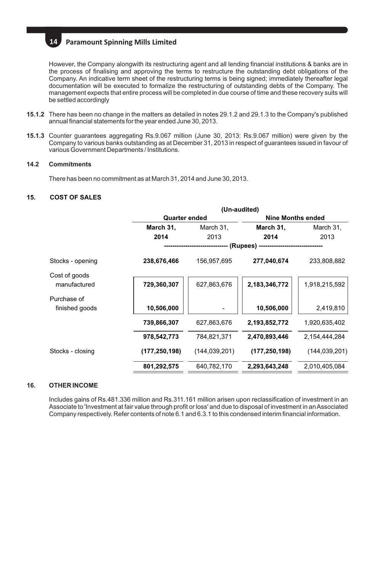However, the Company alongwith its restructuring agent and all lending financial institutions & banks are in the process of finalising and approving the terms to restructure the outstanding debt obligations of the Company. An indicative term sheet of the restructuring terms is being signed; immediately thereafter legal documentation will be executed to formalize the restructuring of outstanding debts of the Company. The management expects that entire process will be completed in due course of time and these recovery suits will be settled accordingly

- **15.1.2** There has been no change in the matters as detailed in notes 29.1.2 and 29.1.3 to the Company's published annual financial statements for the year ended June 30, 2013.
- **15.1.3** Counter guarantees aggregating Rs.9.067 million (June 30, 2013: Rs.9.067 million) were given by the Company to various banks outstanding as at December 31, 2013 in respect of guarantees issued in favour of various Government Departments / Institutions.

### **14.2 Commitments**

There has been no commitment as at March 31, 2014 and June 30, 2013.

### **15. COST OF SALES**

|                               | (Un-audited)  |                 |                          |                 |  |
|-------------------------------|---------------|-----------------|--------------------------|-----------------|--|
|                               | Quarter ended |                 | <b>Nine Months ended</b> |                 |  |
|                               | March 31,     | March 31,       | March 31,                | March 31,       |  |
|                               | 2014          | 2013            | 2014                     | 2013            |  |
|                               | (Rupees) -    |                 |                          |                 |  |
| Stocks - opening              | 238,676,466   | 156,957,695     | 277,040,674              | 233,808,882     |  |
| Cost of goods<br>manufactured | 729,360,307   | 627,863,676     | 2,183,346,772            | 1,918,215,592   |  |
| Purchase of<br>finished goods | 10,506,000    |                 | 10,506,000               | 2,419,810       |  |
|                               | 739,866,307   | 627,863,676     | 2,193,852,772            | 1,920,635,402   |  |
|                               | 978,542,773   | 784,821,371     | 2,470,893,446            | 2,154,444,284   |  |
| Stocks - closing              | (177,250,198) | (144, 039, 201) | (177, 250, 198)          | (144, 039, 201) |  |
|                               | 801,292,575   | 640,782,170     | 2,293,643,248            | 2,010,405,084   |  |

### **16. OTHER INCOME**

Includes gains of Rs.481.336 million and Rs.311.161 million arisen upon reclassification of investment in an Associate to 'Investment at fair value through profit or loss' and due to disposal of investment in an Associated Company respectively. Refer contents of note 6.1 and 6.3.1 to this condensed interim financial information.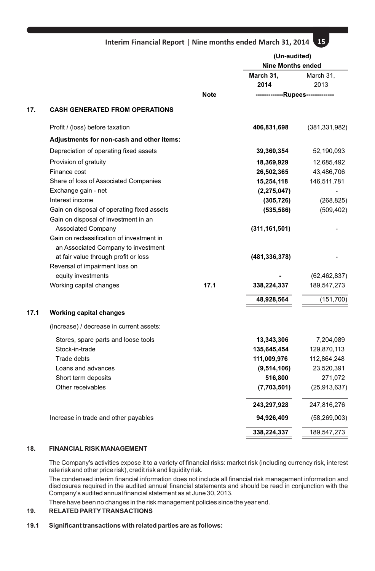|      |                                               |      | (Un-audited)<br><b>Nine Months ended</b> |                               |  |
|------|-----------------------------------------------|------|------------------------------------------|-------------------------------|--|
|      |                                               |      | March 31,                                | March 31,                     |  |
|      |                                               |      | 2014                                     | 2013                          |  |
|      |                                               | Note | -------------Rupees-------------         |                               |  |
| 17.  | <b>CASH GENERATED FROM OPERATIONS</b>         |      |                                          |                               |  |
|      | Profit / (loss) before taxation               |      | 406,831,698                              | (381, 331, 982)               |  |
|      | Adjustments for non-cash and other items:     |      |                                          |                               |  |
|      | Depreciation of operating fixed assets        |      | 39,360,354                               | 52,190,093                    |  |
|      | Provision of gratuity                         |      | 18,369,929                               | 12,685,492                    |  |
|      | Finance cost                                  |      | 26,502,365                               | 43,486,706                    |  |
|      | Share of loss of Associated Companies         |      | 15,254,118                               | 146,511,781                   |  |
|      | Exchange gain - net                           |      | (2, 275, 047)                            |                               |  |
|      | Interest income                               |      | (305, 726)                               | (268, 825)                    |  |
|      | Gain on disposal of operating fixed assets    |      | (535, 586)                               | (509, 402)                    |  |
|      | Gain on disposal of investment in an          |      |                                          |                               |  |
|      | <b>Associated Company</b>                     |      | (311, 161, 501)                          |                               |  |
|      | Gain on reclassification of investment in     |      |                                          |                               |  |
|      | an Associated Company to investment           |      |                                          |                               |  |
|      | at fair value through profit or loss          |      | (481,336,378)                            |                               |  |
|      | Reversal of impairment loss on                |      |                                          |                               |  |
|      | equity investments<br>Working capital changes | 17.1 | 338,224,337                              | (62, 462, 837)<br>189,547,273 |  |
|      |                                               |      |                                          |                               |  |
|      |                                               |      | 48,928,564                               | (151, 700)                    |  |
| 17.1 | <b>Working capital changes</b>                |      |                                          |                               |  |
|      | (Increase) / decrease in current assets:      |      |                                          |                               |  |
|      | Stores, spare parts and loose tools           |      | 13,343,306                               | 7,204,089                     |  |
|      | Stock-in-trade                                |      | 135,645,454                              | 129,870,113                   |  |
|      | Trade debts                                   |      | 111,009,976                              | 112,864,248                   |  |
|      | Loans and advances                            |      | (9,514,106)                              | 23,520,391                    |  |
|      | Short term deposits                           |      | 516,800                                  | 271,072                       |  |
|      | Other receivables                             |      | (7,703,501)                              | (25, 913, 637)                |  |
|      |                                               |      | 243,297,928                              | 247,816,276                   |  |
|      | Increase in trade and other payables          |      | 94,926,409                               | (58, 269, 003)                |  |
|      |                                               |      | 338,224,337                              | 189,547,273                   |  |

### **18. FINANCIAL RISK MANAGEMENT**

The Company's activities expose it to a variety of financial risks: market risk (including currency risk, interest rate risk and other price risk), credit risk and liquidity risk.

The condensed interim financial information does not include all financial risk management information and disclosures required in the audited annual financial statements and should be read in conjunction with the Company's audited annual financial statement as at June 30, 2013.

There have been no changes in the risk management policies since the year end.

# **19. RELATED PARTYTRANSACTIONS**

### **19.1 Significant transactions with related parties are as follows:**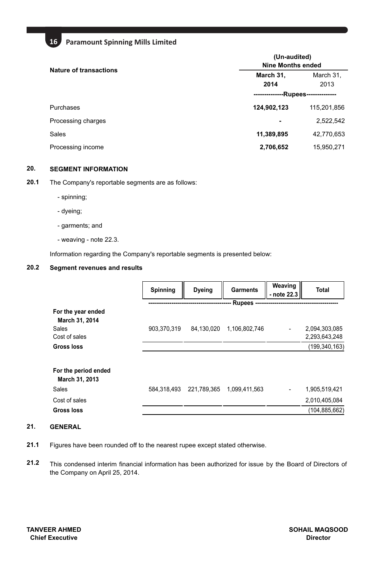| <b>Nature of transactions</b> | (Un-audited)<br>Nine Months ended |             |  |
|-------------------------------|-----------------------------------|-------------|--|
|                               | March 31,                         | March 31,   |  |
|                               | 2014                              | 2013        |  |
|                               | -Rupees-                          |             |  |
| Purchases                     | 124,902,123                       | 115,201,856 |  |
| Processing charges            |                                   | 2,522,542   |  |
| Sales                         | 11,389,895                        | 42,770,653  |  |
| Processing income             | 2,706,652                         | 15,950,271  |  |

# **20. SEGMENT INFORMATION**

**20.1** The Company's reportable segments are as follows:

- spinning;
- dyeing;
- garments; and
- weaving note 22.3.

Information regarding the Company's reportable segments is presented below:

### **20.2 Segment revenues and results**

|                                        | <b>Spinning</b> | <b>Dyeing</b> | <b>Garments</b> | Weaving<br>- note 22.3 | Total         |
|----------------------------------------|-----------------|---------------|-----------------|------------------------|---------------|
|                                        |                 |               | Rupees          |                        |               |
| For the year ended<br>March 31, 2014   |                 |               |                 |                        |               |
| Sales                                  | 903,370,319     | 84,130,020    | 1,106,802,746   |                        | 2,094,303,085 |
| Cost of sales                          |                 |               |                 |                        | 2,293,643,248 |
| Gross loss                             |                 |               |                 |                        | (199,340,163) |
|                                        |                 |               |                 |                        |               |
| For the period ended<br>March 31, 2013 |                 |               |                 |                        |               |
| Sales                                  | 584.318.493     | 221,789,365   | 1.099.411.563   |                        | 1,905,519,421 |
| Cost of sales                          |                 |               |                 |                        | 2,010,405,084 |
| Gross loss                             |                 |               |                 |                        | (104,885,662) |

# **21. GENERAL**

- **21.1** Figures have been rounded off to the nearest rupee except stated otherwise.
- **21.2** This condensed interim financial information has been authorized for issue by the Board of Directors of the Company on April 25, 2014.